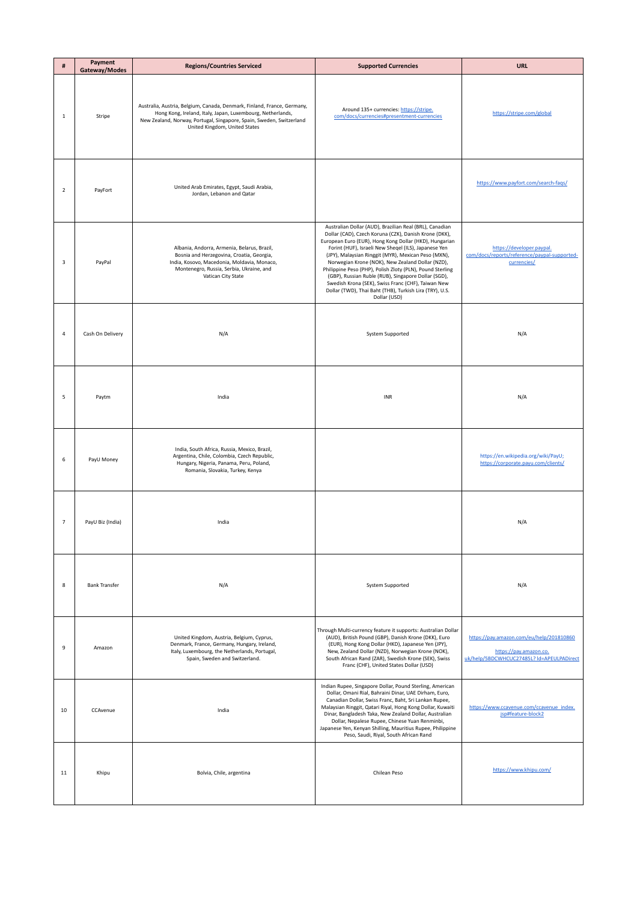| #              | Payment<br>Gateway/Modes | <b>Regions/Countries Serviced</b>                                                                                                                                                                                                              | <b>Supported Currencies</b>                                                                                                                                                                                                                                                                                                                                                                                                                                                                                                                                                                        | <b>URL</b>                                                                                                      |
|----------------|--------------------------|------------------------------------------------------------------------------------------------------------------------------------------------------------------------------------------------------------------------------------------------|----------------------------------------------------------------------------------------------------------------------------------------------------------------------------------------------------------------------------------------------------------------------------------------------------------------------------------------------------------------------------------------------------------------------------------------------------------------------------------------------------------------------------------------------------------------------------------------------------|-----------------------------------------------------------------------------------------------------------------|
| 1              | Stripe                   | Australia, Austria, Belgium, Canada, Denmark, Finland, France, Germany,<br>Hong Kong, Ireland, Italy, Japan, Luxembourg, Netherlands,<br>New Zealand, Norway, Portugal, Singapore, Spain, Sweden, Switzerland<br>United Kingdom, United States | Around 135+ currencies: https://stripe.<br>com/docs/currencies#presentment-currencies                                                                                                                                                                                                                                                                                                                                                                                                                                                                                                              | https://stripe.com/global                                                                                       |
| $\overline{2}$ | PayFort                  | United Arab Emirates, Egypt, Saudi Arabia,<br>Jordan, Lebanon and Qatar                                                                                                                                                                        |                                                                                                                                                                                                                                                                                                                                                                                                                                                                                                                                                                                                    | https://www.payfort.com/search-faqs/                                                                            |
| 3              | PayPal                   | Albania, Andorra, Armenia, Belarus, Brazil,<br>Bosnia and Herzegovina, Croatia, Georgia,<br>India, Kosovo, Macedonia, Moldavia, Monaco,<br>Montenegro, Russia, Serbia, Ukraine, and<br>Vatican City State                                      | Australian Dollar (AUD), Brazilian Real (BRL), Canadian<br>Dollar (CAD), Czech Koruna (CZK), Danish Krone (DKK),<br>European Euro (EUR), Hong Kong Dollar (HKD), Hungarian<br>Forint (HUF), Israeli New Sheqel (ILS), Japanese Yen<br>(JPY), Malaysian Ringgit (MYR), Mexican Peso (MXN),<br>Norwegian Krone (NOK), New Zealand Dollar (NZD),<br>Philippine Peso (PHP), Polish Zloty (PLN), Pound Sterling<br>(GBP), Russian Ruble (RUB), Singapore Dollar (SGD),<br>Swedish Krona (SEK), Swiss Franc (CHF), Taiwan New<br>Dollar (TWD), Thai Baht (THB), Turkish Lira (TRY), U.S.<br>Dollar (USD) | https://developer.paypal.<br>com/docs/reports/reference/paypal-supported-<br>currencies/<br>ц.                  |
| 4              | Cash On Delivery         | N/A                                                                                                                                                                                                                                            | System Supported                                                                                                                                                                                                                                                                                                                                                                                                                                                                                                                                                                                   | N/A                                                                                                             |
| 5              | Paytm                    | India                                                                                                                                                                                                                                          | INR                                                                                                                                                                                                                                                                                                                                                                                                                                                                                                                                                                                                | N/A                                                                                                             |
| 6              | PayU Money               | India, South Africa, Russia, Mexico, Brazil,<br>Argentina, Chile, Colombia, Czech Republic,<br>Hungary, Nigeria, Panama, Peru, Poland,<br>Romania, Slovakia, Turkey, Kenya                                                                     |                                                                                                                                                                                                                                                                                                                                                                                                                                                                                                                                                                                                    | https://en.wikipedia.org/wiki/PayU;<br>https://corporate.payu.com/clients/                                      |
| $\overline{7}$ | PayU Biz (India)         | India                                                                                                                                                                                                                                          |                                                                                                                                                                                                                                                                                                                                                                                                                                                                                                                                                                                                    | N/A                                                                                                             |
| 8              | <b>Bank Transfer</b>     | N/A                                                                                                                                                                                                                                            | System Supported                                                                                                                                                                                                                                                                                                                                                                                                                                                                                                                                                                                   | N/A                                                                                                             |
| 9              | Amazon                   | United Kingdom, Austria, Belgium, Cyprus,<br>Denmark, France, Germany, Hungary, Ireland,<br>Italy, Luxembourg, the Netherlands, Portugal,<br>Spain, Sweden and Switzerland.                                                                    | Through Multi-currency feature it supports: Australian Dollar<br>(AUD), British Pound (GBP), Danish Krone (DKK), Euro<br>(EUR), Hong Kong Dollar (HKD), Japanese Yen (JPY),<br>New, Zealand Dollar (NZD), Norwegian Krone (NOK),<br>South African Rand (ZAR), Swedish Krone (SEK), Swiss<br>Franc (CHF), United States Dollar (USD)                                                                                                                                                                                                                                                                | https://pay.amazon.com/eu/help/201810860<br>https://pay.amazon.co.<br>uk/help/5BDCWHCUC27485L? ld=APEULPADirect |
| 10             | CCAvenue                 | India                                                                                                                                                                                                                                          | Indian Rupee, Singapore Dollar, Pound Sterling, American<br>Dollar, Omani Rial, Bahraini Dinar, UAE Dirham, Euro,<br>Canadian Dollar, Swiss Franc, Baht, Sri Lankan Rupee,<br>Malaysian Ringgit, Qatari Riyal, Hong Kong Dollar, Kuwaiti<br>Dinar, Bangladesh Taka, New Zealand Dollar, Australian<br>Dollar, Nepalese Rupee, Chinese Yuan Renminbi,<br>Japanese Yen, Kenyan Shilling, Mauritius Rupee, Philippine<br>Peso, Saudi, Riyal, South African Rand                                                                                                                                       | https://www.ccavenue.com/ccavenue_index.<br>jsp#feature-block2                                                  |
| 11             | Khipu                    | Bolvia, Chile, argentina                                                                                                                                                                                                                       | Chilean Peso                                                                                                                                                                                                                                                                                                                                                                                                                                                                                                                                                                                       | https://www.khipu.com/                                                                                          |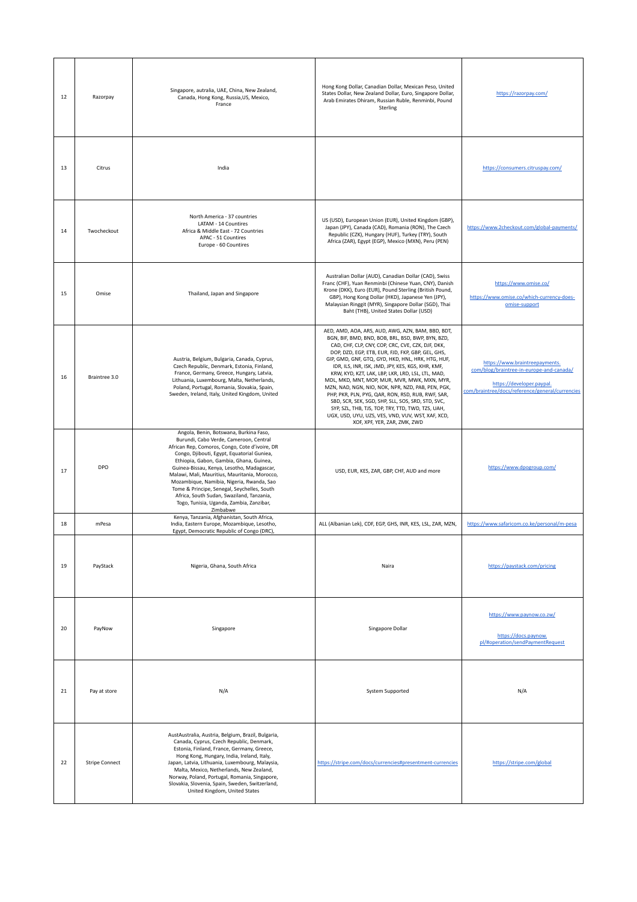| 12 | Razorpay              | Singapore, autralia, UAE, China, New Zealand,<br>Canada, Hong Kong, Russia, US, Mexico,<br>France                                                                                                                                                                                                                                                                                                                                                                                                                           | Hong Kong Dollar, Canadian Dollar, Mexican Peso, United<br>States Dollar, New Zealand Dollar, Euro, Singapore Dollar,<br>Arab Emirates Dhiram, Russian Ruble, Renminbi, Pound<br>Sterling                                                                                                                                                                                                                                                                                                                                                                                                                                                                                                                                                | https://razorpay.com/                                                                                                                                      |
|----|-----------------------|-----------------------------------------------------------------------------------------------------------------------------------------------------------------------------------------------------------------------------------------------------------------------------------------------------------------------------------------------------------------------------------------------------------------------------------------------------------------------------------------------------------------------------|------------------------------------------------------------------------------------------------------------------------------------------------------------------------------------------------------------------------------------------------------------------------------------------------------------------------------------------------------------------------------------------------------------------------------------------------------------------------------------------------------------------------------------------------------------------------------------------------------------------------------------------------------------------------------------------------------------------------------------------|------------------------------------------------------------------------------------------------------------------------------------------------------------|
| 13 | Citrus                | India                                                                                                                                                                                                                                                                                                                                                                                                                                                                                                                       |                                                                                                                                                                                                                                                                                                                                                                                                                                                                                                                                                                                                                                                                                                                                          | https://consumers.citruspay.com/                                                                                                                           |
| 14 | Twocheckout           | North America - 37 countries<br>LATAM - 14 Countires<br>Africa & Middle East - 72 Countries<br>APAC - 51 Countires<br>Europe - 60 Countires                                                                                                                                                                                                                                                                                                                                                                                 | US (USD), European Union (EUR), United Kingdom (GBP),<br>Japan (JPY), Canada (CAD), Romania (RON), The Czech<br>Republic (CZK), Hungary (HUF), Turkey (TRY), South<br>Africa (ZAR), Egypt (EGP), Mexico (MXN), Peru (PEN)                                                                                                                                                                                                                                                                                                                                                                                                                                                                                                                | https://www.2checkout.com/global-payments/                                                                                                                 |
| 15 | Omise                 | Thailand, Japan and Singapore                                                                                                                                                                                                                                                                                                                                                                                                                                                                                               | Australian Dollar (AUD), Canadian Dollar (CAD), Swiss<br>Franc (CHF), Yuan Renminbi (Chinese Yuan, CNY), Danish<br>Krone (DKK), Euro (EUR), Pound Sterling (British Pound,<br>GBP), Hong Kong Dollar (HKD), Japanese Yen (JPY),<br>Malaysian Ringgit (MYR), Singapore Dollar (SGD), Thai<br>Baht (THB), United States Dollar (USD)                                                                                                                                                                                                                                                                                                                                                                                                       | https://www.omise.co/<br>https://www.omise.co/which-currency-does-<br>omise-support                                                                        |
| 16 | Braintree 3.0         | Austria, Belgium, Bulgaria, Canada, Cyprus,<br>Czech Republic, Denmark, Estonia, Finland,<br>France, Germany, Greece, Hungary, Latvia,<br>Lithuania, Luxembourg, Malta, Netherlands,<br>Poland, Portugal, Romania, Slovakia, Spain,<br>Sweden, Ireland, Italy, United Kingdom, United                                                                                                                                                                                                                                       | AED, AMD, AOA, ARS, AUD, AWG, AZN, BAM, BBD, BDT,<br>BGN, BIF, BMD, BND, BOB, BRL, BSD, BWP, BYN, BZD,<br>CAD, CHF, CLP, CNY, COP, CRC, CVE, CZK, DJF, DKK,<br>DOP, DZD, EGP, ETB, EUR, FJD, FKP, GBP, GEL, GHS,<br>GIP, GMD, GNF, GTQ, GYD, HKD, HNL, HRK, HTG, HUF,<br>IDR, ILS, INR, ISK, JMD, JPY, KES, KGS, KHR, KMF,<br>KRW, KYD, KZT, LAK, LBP, LKR, LRD, LSL, LTL, MAD,<br>MDL, MKD, MNT, MOP, MUR, MVR, MWK, MXN, MYR,<br>MZN, NAD, NGN, NIO, NOK, NPR, NZD, PAB, PEN, PGK,<br>PHP, PKR, PLN, PYG, QAR, RON, RSD, RUB, RWF, SAR,<br>SBD, SCR, SEK, SGD, SHP, SLL, SOS, SRD, STD, SVC,<br>SYP, SZL, THB, TJS, TOP, TRY, TTD, TWD, TZS, UAH,<br>UGX, USD, UYU, UZS, VES, VND, VUV, WST, XAF, XCD,<br>XOF, XPF, YER, ZAR, ZMK, ZWD | https://www.braintreepayments.<br>com/blog/braintree-in-europe-and-canada/<br>https://developer.paypal.<br>com/braintree/docs/reference/general/currencies |
| 17 | DPO                   | Angola, Benin, Botswana, Burkina Faso,<br>Burundi, Cabo Verde, Cameroon, Central<br>African Rep, Comoros, Congo, Cote d'ivoire, DR<br>Congo, Djibouti, Egypt, Equatorial Guniea,<br>Ethiopia, Gabon, Gambia, Ghana, Guinea,<br>Guinea-Bissau, Kenya, Lesotho, Madagascar,<br>Malawi, Mali, Mauritius, Mauritania, Morocco,<br>Mozambique, Namibia, Nigeria, Rwanda, Sao<br>Tome & Principe, Senegal, Seychelles, South<br>Africa, South Sudan, Swaziland, Tanzania,<br>Togo, Tunisia, Uganda, Zambia, Zanzibar,<br>Zimbabwe | USD, EUR, KES, ZAR, GBP, CHF, AUD and more                                                                                                                                                                                                                                                                                                                                                                                                                                                                                                                                                                                                                                                                                               | https://www.dpogroup.com/<br>$\mathcal{L}$                                                                                                                 |
| 18 | mPesa                 | Kenya, Tanzania, Afghanistan, South Africa,<br>India, Eastern Europe, Mozambique, Lesotho,<br>Egypt, Democratic Republic of Congo (DRC),                                                                                                                                                                                                                                                                                                                                                                                    | ALL (Albanian Lek), CDF, EGP, GHS, INR, KES, LSL, ZAR, MZN,                                                                                                                                                                                                                                                                                                                                                                                                                                                                                                                                                                                                                                                                              | https://www.safaricom.co.ke/personal/m-pesa                                                                                                                |
| 19 | PayStack              | Nigeria, Ghana, South Africa                                                                                                                                                                                                                                                                                                                                                                                                                                                                                                | Naira                                                                                                                                                                                                                                                                                                                                                                                                                                                                                                                                                                                                                                                                                                                                    | https://paystack.com/pricing                                                                                                                               |
| 20 | PayNow                | Singapore                                                                                                                                                                                                                                                                                                                                                                                                                                                                                                                   | Singapore Dollar                                                                                                                                                                                                                                                                                                                                                                                                                                                                                                                                                                                                                                                                                                                         | https://www.paynow.co.zw/<br>https://docs.paynow.<br>pl/#operation/sendPaymentRequest                                                                      |
| 21 | Pay at store          | N/A                                                                                                                                                                                                                                                                                                                                                                                                                                                                                                                         | System Supported                                                                                                                                                                                                                                                                                                                                                                                                                                                                                                                                                                                                                                                                                                                         | N/A                                                                                                                                                        |
| 22 | <b>Stripe Connect</b> | AustAustralia, Austria, Belgium, Brazil, Bulgaria,<br>Canada, Cyprus, Czech Republic, Denmark,<br>Estonia, Finland, France, Germany, Greece,<br>Hong Kong, Hungary, India, Ireland, Italy,<br>Japan, Latvia, Lithuania, Luxembourg, Malaysia,<br>Malta, Mexico, Netherlands, New Zealand,<br>Norway, Poland, Portugal, Romania, Singapore,<br>Slovakia, Slovenia, Spain, Sweden, Switzerland,<br>United Kingdom, United States                                                                                              | https://stripe.com/docs/currencies#presentment-currencies                                                                                                                                                                                                                                                                                                                                                                                                                                                                                                                                                                                                                                                                                | https://stripe.com/global                                                                                                                                  |